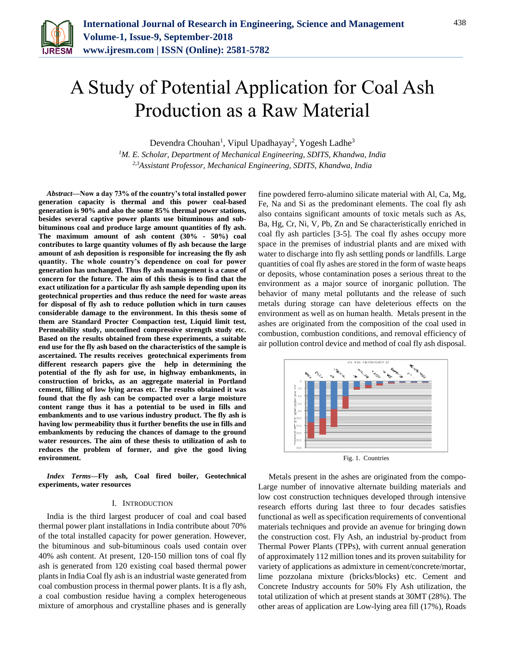

# A Study of Potential Application for Coal Ash Production as a Raw Material

Devendra Chouhan<sup>1</sup>, Vipul Upadhayay<sup>2</sup>, Yogesh Ladhe<sup>3</sup>

*<sup>1</sup>M. E. Scholar, Department of Mechanical Engineering, SDITS, Khandwa, India 2,3Assistant Professor, Mechanical Engineering, SDITS, Khandwa, India*

*Abstract***—Now a day 73% of the country's total installed power generation capacity is thermal and this power coal-based generation is 90% and also the some 85% thermal power stations, besides several captive power plants use bituminous and subbituminous coal and produce large amount quantities of fly ash. The maximum amount of ash content (30% - 50%) coal contributes to large quantity volumes of fly ash because the large amount of ash deposition is responsible for increasing the fly ash quantity. The whole country's dependence on coal for power generation has unchanged. Thus fly ash management is a cause of concern for the future. The aim of this thesis is to find that the exact utilization for a particular fly ash sample depending upon its geotechnical properties and thus reduce the need for waste areas for disposal of fly ash to reduce pollution which in turn causes considerable damage to the environment. In this thesis some of them are Standard Procter Compaction test, Liquid limit test, Permeability study, unconfined compressive strength study etc. Based on the results obtained from these experiments, a suitable end use for the fly ash based on the characteristics of the sample is ascertained. The results receives geotechnical experiments from different research papers give the help in determining the potential of the fly ash for use, in highway embankments, in construction of bricks, as an aggregate material in Portland cement, filling of low lying areas etc. The results obtained it was found that the fly ash can be compacted over a large moisture content range thus it has a potential to be used in fills and embankments and to use various industry product. The fly ash is having low permeability thus it further benefits the use in fills and embankments by reducing the chances of damage to the ground water resources. The aim of these thesis to utilization of ash to reduces the problem of former, and give the good living environment.**

*Index Terms***—Fly ash, Coal fired boiler, Geotechnical experiments, water resources**

#### I. INTRODUCTION

India is the third largest producer of coal and coal based thermal power plant installations in India contribute about 70% of the total installed capacity for power generation. However, the bituminous and sub-bituminous coals used contain over 40% ash content. At present, 120-150 million tons of coal fly ash is generated from 120 existing coal based thermal power plants in India Coal fly ash is an industrial waste generated from coal combustion process in thermal power plants. It is a fly ash, a coal combustion residue having a complex heterogeneous mixture of amorphous and crystalline phases and is generally

fine powdered ferro-alumino silicate material with Al, Ca, Mg, Fe, Na and Si as the predominant elements. The coal fly ash also contains significant amounts of toxic metals such as As, Ba, Hg, Cr, Ni, V, Pb, Zn and Se characteristically enriched in coal fly ash particles [3-5]. The coal fly ashes occupy more space in the premises of industrial plants and are mixed with water to discharge into fly ash settling ponds or landfills. Large quantities of coal fly ashes are stored in the form of waste heaps or deposits, whose contamination poses a serious threat to the environment as a major source of inorganic pollution. The behavior of many metal pollutants and the release of such metals during storage can have deleterious effects on the environment as well as on human health. Metals present in the ashes are originated from the composition of the coal used in combustion, combustion conditions, and removal efficiency of air pollution control device and method of coal fly ash disposal.



Fig. 1. Countries

Metals present in the ashes are originated from the compo-Large number of innovative alternate building materials and low cost construction techniques developed through intensive research efforts during last three to four decades satisfies functional as well as specification requirements of conventional materials techniques and provide an avenue for bringing down the construction cost. Fly Ash, an industrial by-product from Thermal Power Plants (TPPs), with current annual generation of approximately 112 million tones and its proven suitability for variety of applications as admixture in cement/concrete/mortar, lime pozzolana mixture (bricks/blocks) etc. Cement and Concrete Industry accounts for 50% Fly Ash utilization, the total utilization of which at present stands at 30MT (28%). The other areas of application are Low-lying area fill (17%), Roads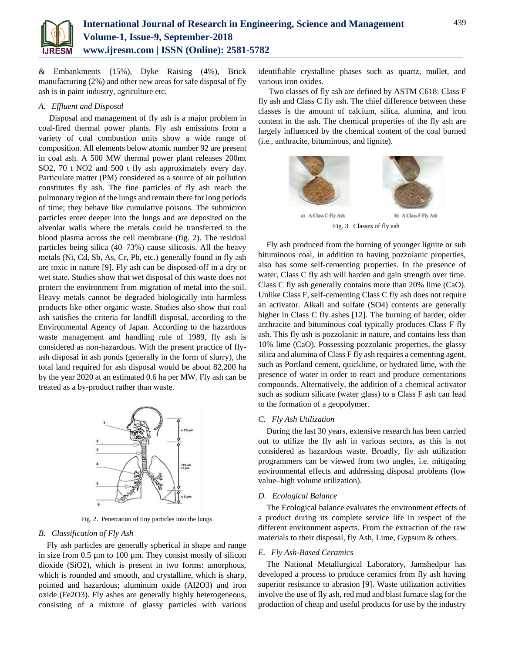

& Embankments (15%), Dyke Raising (4%), Brick manufacturing (2%) and other new areas for safe disposal of fly ash is in paint industry, agriculture etc.

#### *A. Effluent and Disposal*

Disposal and management of fly ash is a major problem in coal-fired thermal power plants. Fly ash emissions from a variety of coal combustion units show a wide range of composition. All elements below atomic number 92 are present in coal ash. A 500 MW thermal power plant releases 200mt SO2, 70 t NO2 and 500 t fly ash approximately every day. Particulate matter (PM) considered as a source of air pollution constitutes fly ash. The fine particles of fly ash reach the pulmonary region of the lungs and remain there for long periods of time; they behave like cumulative poisons. The submicron particles enter deeper into the lungs and are deposited on the alveolar walls where the metals could be transferred to the blood plasma across the cell membrane (fig. 2). The residual particles being silica (40–73%) cause silicosis. All the heavy metals (Ni, Cd, Sb, As, Cr, Pb, etc.) generally found in fly ash are toxic in nature [9]. Fly ash can be disposed-off in a dry or wet state. Studies show that wet disposal of this waste does not protect the environment from migration of metal into the soil. Heavy metals cannot be degraded biologically into harmless products like other organic waste. Studies also show that coal ash satisfies the criteria for landfill disposal, according to the Environmental Agency of Japan. According to the hazardous waste management and handling rule of 1989, fly ash is considered as non-hazardous. With the present practice of flyash disposal in ash ponds (generally in the form of slurry), the total land required for ash disposal would be about 82,200 ha by the year 2020 at an estimated 0.6 ha per MW. Fly ash can be treated as a by-product rather than waste.



Fig. 2. Penetration of tiny particles into the lungs

#### *B. Classification of Fly Ash*

Fly ash particles are generally spherical in shape and range in size from 0.5 µm to 100 µm. They consist mostly of silicon dioxide (SiO2), which is present in two forms: amorphous, which is rounded and smooth, and crystalline, which is sharp, pointed and hazardous; aluminum oxide (Al2O3) and iron oxide (Fe2O3). Fly ashes are generally highly heterogeneous, consisting of a mixture of glassy particles with various identifiable crystalline phases such as quartz, mullet, and various iron oxides.

Two classes of fly ash are defined by ASTM C618: Class F fly ash and Class C fly ash. The chief difference between these classes is the amount of calcium, silica, alumina, and iron content in the ash. The chemical properties of the fly ash are largely influenced by the chemical content of the coal burned (i.e., anthracite, bituminous, and lignite).



Fig. 3. Classes of fly ash

Fly ash produced from the burning of younger lignite or sub bituminous coal, in addition to having pozzolanic properties, also has some self-cementing properties. In the presence of water, Class C fly ash will harden and gain strength over time. Class C fly ash generally contains more than 20% lime (CaO). Unlike Class F, self-cementing Class C fly ash does not require an activator. Alkali and sulfate (SO4) contents are generally higher in Class C fly ashes [12]. The burning of harder, older anthracite and bituminous coal typically produces Class F fly ash. This fly ash is pozzolanic in nature, and contains less than 10% lime (CaO). Possessing pozzolanic properties, the glassy silica and alumina of Class F fly ash requires a cementing agent, such as Portland cement, quicklime, or hydrated lime, with the presence of water in order to react and produce cementations compounds. Alternatively, the addition of a chemical activator such as sodium silicate (water glass) to a Class F ash can lead to the formation of a geopolymer.

#### *C. Fly Ash Utilization*

During the last 30 years, extensive research has been carried out to utilize the fly ash in various sectors, as this is not considered as hazardous waste. Broadly, fly ash utilization programmers can be viewed from two angles, i.e. mitigating environmental effects and addressing disposal problems (low value–high volume utilization).

#### *D. Ecological Balance*

The Ecological balance evaluates the environment effects of a product during its complete service life in respect of the different environment aspects. From the extraction of the raw materials to their disposal, fly Ash, Lime, Gypsum & others.

## *E. Fly Ash-Based Ceramics*

The National Metallurgical Laboratory, Jamshedpur has developed a process to produce ceramics from fly ash having superior resistance to abrasion [9]. Waste utilization activities involve the use of fly ash, red mud and blast furnace slag for the production of cheap and useful products for use by the industry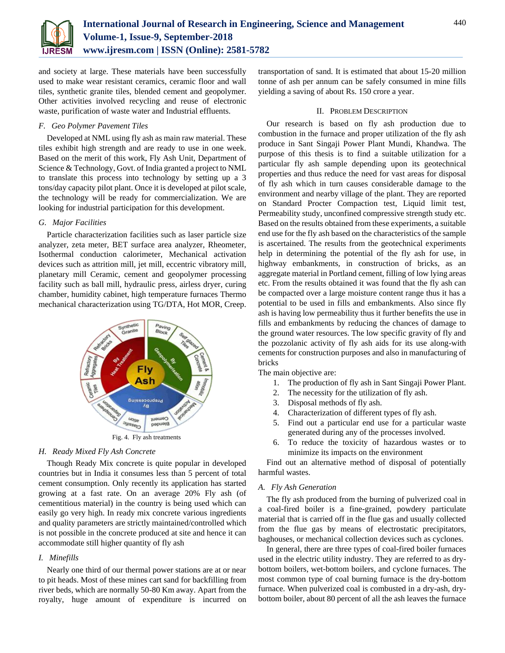

and society at large. These materials have been successfully used to make wear resistant ceramics, ceramic floor and wall tiles, synthetic granite tiles, blended cement and geopolymer. Other activities involved recycling and reuse of electronic waste, purification of waste water and Industrial effluents.

## *F. Geo Polymer Pavement Tiles*

Developed at NML using fly ash as main raw material. These tiles exhibit high strength and are ready to use in one week. Based on the merit of this work, Fly Ash Unit, Department of Science & Technology, Govt. of India granted a project to NML to translate this process into technology by setting up a 3 tons/day capacity pilot plant. Once it is developed at pilot scale, the technology will be ready for commercialization. We are looking for industrial participation for this development.

## *G. Major Facilities*

Particle characterization facilities such as laser particle size analyzer, zeta meter, BET surface area analyzer, Rheometer, Isothermal conduction calorimeter, Mechanical activation devices such as attrition mill, jet mill, eccentric vibratory mill, planetary mill Ceramic, cement and geopolymer processing facility such as ball mill, hydraulic press, airless dryer, curing chamber, humidity cabinet, high temperature furnaces Thermo mechanical characterization using TG/DTA, Hot MOR, Creep.



Fig. 4. Fly ash treatments

## *H. Ready Mixed Fly Ash Concrete*

Though Ready Mix concrete is quite popular in developed countries but in India it consumes less than 5 percent of total cement consumption. Only recently its application has started growing at a fast rate. On an average 20% Fly ash (of cementitious material) in the country is being used which can easily go very high. In ready mix concrete various ingredients and quality parameters are strictly maintained/controlled which is not possible in the concrete produced at site and hence it can accommodate still higher quantity of fly ash

## *I. Minefills*

Nearly one third of our thermal power stations are at or near to pit heads. Most of these mines cart sand for backfilling from river beds, which are normally 50-80 Km away. Apart from the royalty, huge amount of expenditure is incurred on transportation of sand. It is estimated that about 15-20 million tonne of ash per annum can be safely consumed in mine fills yielding a saving of about Rs. 150 crore a year.

#### II. PROBLEM DESCRIPTION

Our research is based on fly ash production due to combustion in the furnace and proper utilization of the fly ash produce in Sant Singaji Power Plant Mundi, Khandwa. The purpose of this thesis is to find a suitable utilization for a particular fly ash sample depending upon its geotechnical properties and thus reduce the need for vast areas for disposal of fly ash which in turn causes considerable damage to the environment and nearby village of the plant. They are reported on Standard Procter Compaction test, Liquid limit test, Permeability study, unconfined compressive strength study etc. Based on the results obtained from these experiments, a suitable end use for the fly ash based on the characteristics of the sample is ascertained. The results from the geotechnical experiments help in determining the potential of the fly ash for use, in highway embankments, in construction of bricks, as an aggregate material in Portland cement, filling of low lying areas etc. From the results obtained it was found that the fly ash can be compacted over a large moisture content range thus it has a potential to be used in fills and embankments. Also since fly ash is having low permeability thus it further benefits the use in fills and embankments by reducing the chances of damage to the ground water resources. The low specific gravity of fly and the pozzolanic activity of fly ash aids for its use along-with cements for construction purposes and also in manufacturing of bricks

The main objective are:

- 1. The production of fly ash in Sant Singaji Power Plant.
- 2. The necessity for the utilization of fly ash.
- 3. Disposal methods of fly ash.
- 4. Characterization of different types of fly ash.
- 5. Find out a particular end use for a particular waste generated during any of the processes involved.
- 6. To reduce the toxicity of hazardous wastes or to minimize its impacts on the environment

Find out an alternative method of disposal of potentially harmful wastes.

#### *A. Fly Ash Generation*

The fly ash produced from the burning of pulverized coal in a coal-fired boiler is a fine-grained, powdery particulate material that is carried off in the flue gas and usually collected from the flue gas by means of electrostatic precipitators, baghouses, or mechanical collection devices such as cyclones.

In general, there are three types of coal-fired boiler furnaces used in the electric utility industry. They are referred to as drybottom boilers, wet-bottom boilers, and cyclone furnaces. The most common type of coal burning furnace is the dry-bottom furnace. When pulverized coal is combusted in a dry-ash, drybottom boiler, about 80 percent of all the ash leaves the furnace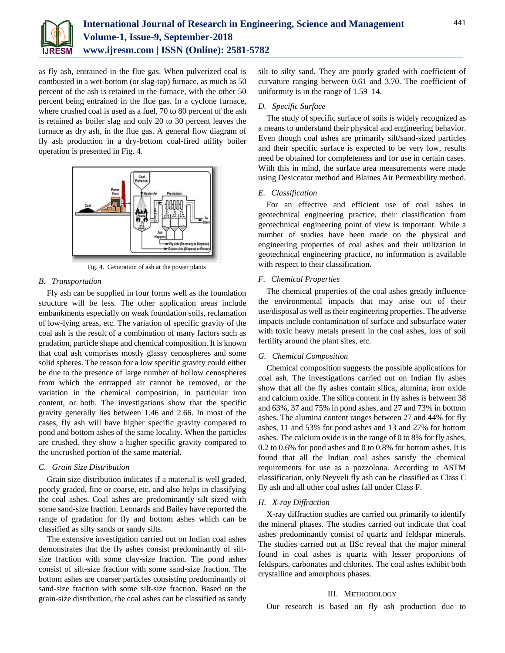

as fly ash, entrained in the flue gas. When pulverized coal is combusted in a wet-bottom (or slag-tap) furnace, as much as 50 percent of the ash is retained in the furnace, with the other 50 percent being entrained in the flue gas. In a cyclone furnace, where crushed coal is used as a fuel, 70 to 80 percent of the ash is retained as boiler slag and only 20 to 30 percent leaves the furnace as dry ash, in the flue gas. A general flow diagram of fly ash production in a dry-bottom coal-fired utility boiler operation is presented in Fig. 4.



Fig. 4. Generation of ash at the power plants

## *B. Transportation*

Fly ash can be supplied in four forms well as the foundation structure will be less. The other application areas include embankments especially on weak foundation soils, reclamation of low-lying areas, etc. The variation of specific gravity of the coal ash is the result of a combination of many factors such as gradation, particle shape and chemical composition. It is known that coal ash comprises mostly glassy cenospheres and some solid spheres. The reason for a low specific gravity could either be due to the presence of large number of hollow cenospheres from which the entrapped air cannot be removed, or the variation in the chemical composition, in particular iron content, or both. The investigations show that the specific gravity generally lies between 1.46 and 2.66. In most of the cases, fly ash will have higher specific gravity compared to pond and bottom ashes of the same locality. When the particles are crushed, they show a higher specific gravity compared to the uncrushed portion of the same material.

# *C. Grain Size Distribution*

Grain size distribution indicates if a material is well graded, poorly graded, fine or coarse, etc. and also helps in classifying the coal ashes. Coal ashes are predominantly silt sized with some sand-size fraction. Leonards and Bailey have reported the range of gradation for fly and bottom ashes which can be classified as silty sands or sandy silts.

The extensive investigation carried out on Indian coal ashes demonstrates that the fly ashes consist predominantly of siltsize fraction with some clay-size fraction. The pond ashes consist of silt-size fraction with some sand-size fraction. The bottom ashes are coarser particles consisting predominantly of sand-size fraction with some silt-size fraction. Based on the grain-size distribution, the coal ashes can be classified as sandy

silt to silty sand. They are poorly graded with coefficient of curvature ranging between 0.61 and 3.70. The coefficient of uniformity is in the range of 1.59–14.

# *D. Specific Surface*

The study of specific surface of soils is widely recognized as a means to understand their physical and engineering behavior. Even though coal ashes are primarily silt/sand-sized particles and their specific surface is expected to be very low, results need be obtained for completeness and for use in certain cases. With this in mind, the surface area measurements were made using Desiccator method and Blaines Air Permeability method.

## *E. Classification*

For an effective and efficient use of coal ashes in geotechnical engineering practice, their classification from geotechnical engineering point of view is important. While a number of studies have been made on the physical and engineering properties of coal ashes and their utilization in geotechnical engineering practice, no information is available with respect to their classification.

## *F. Chemical Properties*

The chemical properties of the coal ashes greatly influence the environmental impacts that may arise out of their use/disposal as well as their engineering properties. The adverse impacts include contamination of surface and subsurface water with toxic heavy metals present in the coal ashes, loss of soil fertility around the plant sites, etc.

# *G. Chemical Composition*

Chemical composition suggests the possible applications for coal ash. The investigations carried out on Indian fly ashes show that all the fly ashes contain silica, alumina, iron oxide and calcium oxide. The silica content in fly ashes is between 38 and 63%, 37 and 75% in pond ashes, and 27 and 73% in bottom ashes. The alumina content ranges between 27 and 44% for fly ashes, 11 and 53% for pond ashes and 13 and 27% for bottom ashes. The calcium oxide is in the range of 0 to 8% for fly ashes, 0.2 to 0.6% for pond ashes and 0 to 0.8% for bottom ashes. It is found that all the Indian coal ashes satisfy the chemical requirements for use as a pozzolona. According to ASTM classification, only Neyveli fly ash can be classified as Class C fly ash and all other coal ashes fall under Class F.

## *H. X-ray Diffraction*

X-ray diffraction studies are carried out primarily to identify the mineral phases. The studies carried out indicate that coal ashes predominantly consist of quartz and feldspar minerals. The studies carried out at IISc reveal that the major mineral found in coal ashes is quartz with lesser proportions of feldspars, carbonates and chlorites. The coal ashes exhibit both crystalline and amorphous phases.

## III. METHODOLOGY

Our research is based on fly ash production due to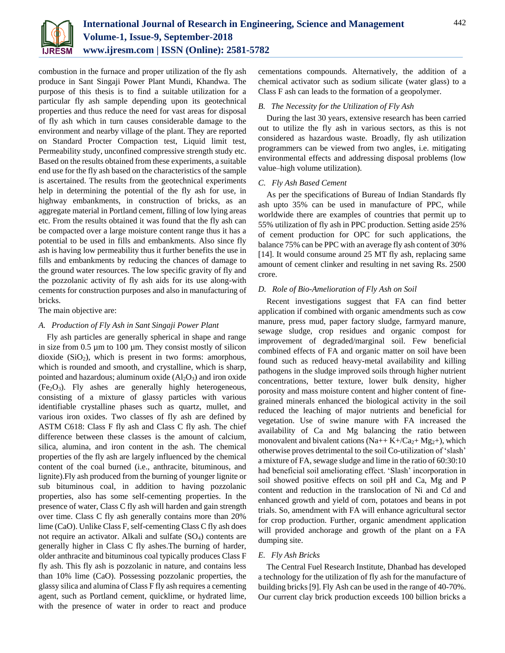

combustion in the furnace and proper utilization of the fly ash produce in Sant Singaji Power Plant Mundi, Khandwa. The purpose of this thesis is to find a suitable utilization for a particular fly ash sample depending upon its geotechnical properties and thus reduce the need for vast areas for disposal of fly ash which in turn causes considerable damage to the environment and nearby village of the plant. They are reported on Standard Procter Compaction test, Liquid limit test, Permeability study, unconfined compressive strength study etc. Based on the results obtained from these experiments, a suitable end use for the fly ash based on the characteristics of the sample is ascertained. The results from the geotechnical experiments help in determining the potential of the fly ash for use, in highway embankments, in construction of bricks, as an aggregate material in Portland cement, filling of low lying areas etc. From the results obtained it was found that the fly ash can be compacted over a large moisture content range thus it has a potential to be used in fills and embankments. Also since fly ash is having low permeability thus it further benefits the use in fills and embankments by reducing the chances of damage to the ground water resources. The low specific gravity of fly and the pozzolanic activity of fly ash aids for its use along-with cements for construction purposes and also in manufacturing of bricks.

The main objective are:

#### *A. Production of Fly Ash in Sant Singaji Power Plant*

Fly ash particles are generally spherical in shape and range in size from 0.5 µm to 100 µm. They consist mostly of silicon dioxide  $(SiO<sub>2</sub>)$ , which is present in two forms: amorphous, which is rounded and smooth, and crystalline, which is sharp, pointed and hazardous; aluminum oxide  $(Al<sub>2</sub>O<sub>3</sub>)$  and iron oxide  $(Fe<sub>2</sub>O<sub>3</sub>)$ . Fly ashes are generally highly heterogeneous, consisting of a mixture of glassy particles with various identifiable crystalline phases such as quartz, mullet, and various iron oxides. Two classes of fly ash are defined by ASTM C618: Class F fly ash and Class C fly ash. The chief difference between these classes is the amount of calcium, silica, alumina, and iron content in the ash. The chemical properties of the fly ash are largely influenced by the chemical content of the coal burned (i.e., anthracite, bituminous, and lignite).Fly ash produced from the burning of younger lignite or sub bituminous coal, in addition to having pozzolanic properties, also has some self-cementing properties. In the presence of water, Class C fly ash will harden and gain strength over time. Class C fly ash generally contains more than 20% lime (CaO). Unlike Class F, self-cementing Class C fly ash does not require an activator. Alkali and sulfate  $(SO<sub>4</sub>)$  contents are generally higher in Class C fly ashes.The burning of harder, older anthracite and bituminous coal typically produces Class F fly ash. This fly ash is pozzolanic in nature, and contains less than 10% lime (CaO). Possessing pozzolanic properties, the glassy silica and alumina of Class F fly ash requires a cementing agent, such as Portland cement, quicklime, or hydrated lime, with the presence of water in order to react and produce

cementations compounds. Alternatively, the addition of a chemical activator such as sodium silicate (water glass) to a Class F ash can leads to the formation of a geopolymer.

#### *B. The Necessity for the Utilization of Fly Ash*

During the last 30 years, extensive research has been carried out to utilize the fly ash in various sectors, as this is not considered as hazardous waste. Broadly, fly ash utilization programmers can be viewed from two angles, i.e. mitigating environmental effects and addressing disposal problems (low value–high volume utilization).

## *C. Fly Ash Based Cement*

As per the specifications of Bureau of Indian Standards fly ash upto 35% can be used in manufacture of PPC, while worldwide there are examples of countries that permit up to 55% utilization of fly ash in PPC production. Setting aside 25% of cement production for OPC for such applications, the balance 75% can be PPC with an average fly ash content of 30% [14]. It would consume around 25 MT fly ash, replacing same amount of cement clinker and resulting in net saving Rs. 2500 crore.

### *D. Role of Bio-Amelioration of Fly Ash on Soil*

Recent investigations suggest that FA can find better application if combined with organic amendments such as cow manure, press mud, paper factory sludge, farmyard manure, sewage sludge, crop residues and organic compost for improvement of degraded/marginal soil. Few beneficial combined effects of FA and organic matter on soil have been found such as reduced heavy-metal availability and killing pathogens in the sludge improved soils through higher nutrient concentrations, better texture, lower bulk density, higher porosity and mass moisture content and higher content of finegrained minerals enhanced the biological activity in the soil reduced the leaching of major nutrients and beneficial for vegetation. Use of swine manure with FA increased the availability of Ca and Mg balancing the ratio between monovalent and bivalent cations (Na++ K+/Ca<sub>2</sub>+ Mg<sub>2</sub>+), which otherwise proves detrimental to the soil Co-utilization of 'slash' a mixture of FA, sewage sludge and lime in the ratio of 60:30:10 had beneficial soil ameliorating effect. 'Slash' incorporation in soil showed positive effects on soil pH and Ca, Mg and P content and reduction in the translocation of Ni and Cd and enhanced growth and yield of corn, potatoes and beans in pot trials. So, amendment with FA will enhance agricultural sector for crop production. Further, organic amendment application will provided anchorage and growth of the plant on a FA dumping site.

### *E. Fly Ash Bricks*

The Central Fuel Research Institute, Dhanbad has developed a technology for the utilization of fly ash for the manufacture of building bricks [9]. Fly Ash can be used in the range of 40-70%. Our current clay brick production exceeds 100 billion bricks a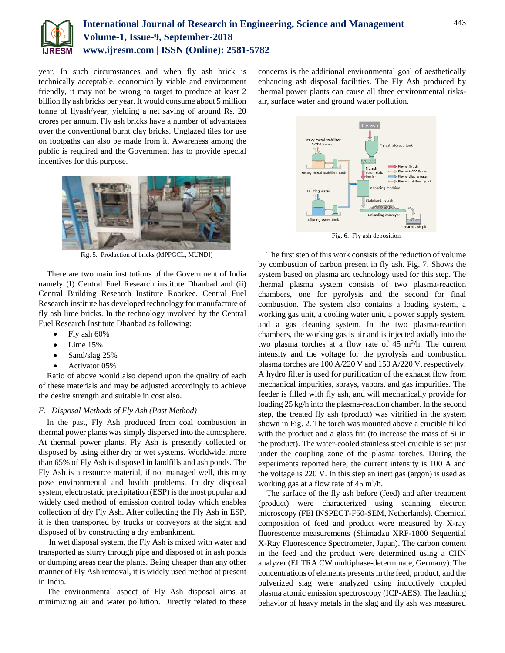

year. In such circumstances and when fly ash brick is technically acceptable, economically viable and environment friendly, it may not be wrong to target to produce at least 2 billion fly ash bricks per year. It would consume about 5 million tonne of flyash/year, yielding a net saving of around Rs. 20 crores per annum. Fly ash bricks have a number of advantages over the conventional burnt clay bricks. Unglazed tiles for use on footpaths can also be made from it. Awareness among the public is required and the Government has to provide special incentives for this purpose.



Fig. 5. Production of bricks (MPPGCL, MUNDI)

There are two main institutions of the Government of India namely (I) Central Fuel Research institute Dhanbad and (ii) Central Building Research Institute Roorkee. Central Fuel Research institute has developed technology for manufacture of fly ash lime bricks. In the technology involved by the Central Fuel Research Institute Dhanbad as following:

- Fly ash 60%
- Lime 15%
- Sand/slag 25%
- Activator 05%

Ratio of above would also depend upon the quality of each of these materials and may be adjusted accordingly to achieve the desire strength and suitable in cost also.

#### *F. Disposal Methods of Fly Ash (Past Method)*

In the past, Fly Ash produced from coal combustion in thermal power plants was simply dispersed into the atmosphere. At thermal power plants, Fly Ash is presently collected or disposed by using either dry or wet systems. Worldwide, more than 65% of Fly Ash is disposed in landfills and ash ponds. The Fly Ash is a resource material, if not managed well, this may pose environmental and health problems. In dry disposal system, electrostatic precipitation (ESP) is the most popular and widely used method of emission control today which enables collection of dry Fly Ash. After collecting the Fly Ash in ESP, it is then transported by trucks or conveyors at the sight and disposed of by constructing a dry embankment.

In wet disposal system, the Fly Ash is mixed with water and transported as slurry through pipe and disposed of in ash ponds or dumping areas near the plants. Being cheaper than any other manner of Fly Ash removal, it is widely used method at present in India.

The environmental aspect of Fly Ash disposal aims at minimizing air and water pollution. Directly related to these concerns is the additional environmental goal of aesthetically enhancing ash disposal facilities. The Fly Ash produced by thermal power plants can cause all three environmental risksair, surface water and ground water pollution.



Fig. 6. Fly ash deposition

The first step of this work consists of the reduction of volume by combustion of carbon present in fly ash. Fig. 7. Shows the system based on plasma arc technology used for this step. The thermal plasma system consists of two plasma-reaction chambers, one for pyrolysis and the second for final combustion. The system also contains a loading system, a working gas unit, a cooling water unit, a power supply system, and a gas cleaning system. In the two plasma-reaction chambers, the working gas is air and is injected axially into the two plasma torches at a flow rate of  $45 \text{ m}^3/\text{h}$ . The current intensity and the voltage for the pyrolysis and combustion plasma torches are 100 A/220 V and 150 A/220 V, respectively. A hydro filter is used for purification of the exhaust flow from mechanical impurities, sprays, vapors, and gas impurities. The feeder is filled with fly ash, and will mechanically provide for loading 25 kg/h into the plasma-reaction chamber. In the second step, the treated fly ash (product) was vitrified in the system shown in Fig. 2. The torch was mounted above a crucible filled with the product and a glass frit (to increase the mass of Si in the product). The water-cooled stainless steel crucible is set just under the coupling zone of the plasma torches. During the experiments reported here, the current intensity is 100 A and the voltage is 220 V. In this step an inert gas (argon) is used as working gas at a flow rate of  $45 \text{ m}^3/\text{h}$ .

The surface of the fly ash before (feed) and after treatment (product) were characterized using scanning electron microscopy (FEI INSPECT-F50-SEM, Netherlands). Chemical composition of feed and product were measured by X-ray fluorescence measurements (Shimadzu XRF-1800 Sequential X-Ray Fluorescence Spectrometer, Japan). The carbon content in the feed and the product were determined using a CHN analyzer (ELTRA CW multiphase-determinate, Germany). The concentrations of elements presents in the feed, product, and the pulverized slag were analyzed using inductively coupled plasma atomic emission spectroscopy (ICP-AES). The leaching behavior of heavy metals in the slag and fly ash was measured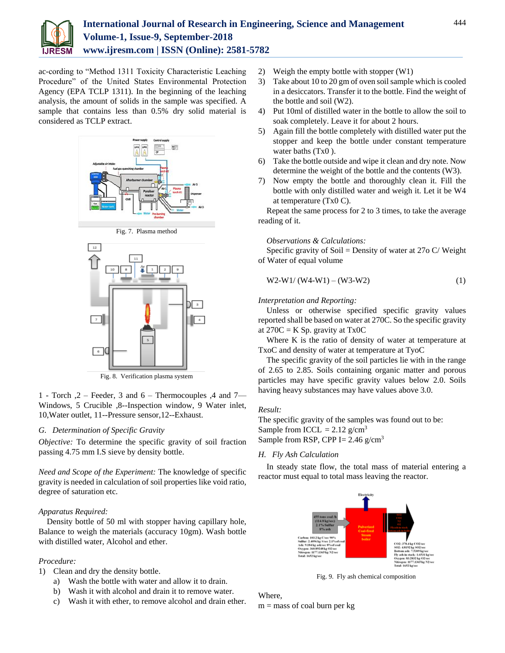

ac-cording to "Method 1311 Toxicity Characteristic Leaching Procedure" of the United States Environmental Protection Agency (EPA TCLP 1311). In the beginning of the leaching analysis, the amount of solids in the sample was specified. A sample that contains less than 0.5% dry solid material is considered as TCLP extract.



Fig. 7. Plasma method



Fig. 8. Verification plasma system

1 - Torch ,2 – Feeder, 3 and 6 – Thermocouples ,4 and 7— Windows, 5 Crucible ,8--Inspection window, 9 Water inlet, 10,Water outlet, 11--Pressure sensor,12--Exhaust.

#### *G. Determination of Specific Gravity*

*Objective:* To determine the specific gravity of soil fraction passing 4.75 mm I.S sieve by density bottle.

*Need and Scope of the Experiment:* The knowledge of specific gravity is needed in calculation of soil properties like void ratio, degree of saturation etc.

## *Apparatus Required:*

Density bottle of 50 ml with stopper having capillary hole, Balance to weigh the materials (accuracy 10gm). Wash bottle with distilled water, Alcohol and ether.

## *Procedure:*

1) Clean and dry the density bottle.

- a) Wash the bottle with water and allow it to drain.
- b) Wash it with alcohol and drain it to remove water.
- c) Wash it with ether, to remove alcohol and drain ether.
- 2) Weigh the empty bottle with stopper (W1)
- 3) Take about 10 to 20 gm of oven soil sample which is cooled in a desiccators. Transfer it to the bottle. Find the weight of the bottle and soil (W2).
- 4) Put 10ml of distilled water in the bottle to allow the soil to soak completely. Leave it for about 2 hours.
- 5) Again fill the bottle completely with distilled water put the stopper and keep the bottle under constant temperature water baths (Tx0).
- 6) Take the bottle outside and wipe it clean and dry note. Now determine the weight of the bottle and the contents (W3).
- 7) Now empty the bottle and thoroughly clean it. Fill the bottle with only distilled water and weigh it. Let it be W4 at temperature (Tx0 C).

Repeat the same process for 2 to 3 times, to take the average reading of it.

#### *Observations & Calculations:*

Specific gravity of Soil = Density of water at  $27$ o C/ Weight of Water of equal volume

$$
W2-W1/(W4-W1)-(W3-W2)
$$
 (1)

## *Interpretation and Reporting:*

Unless or otherwise specified specific gravity values reported shall be based on water at 270C. So the specific gravity at  $270C = K Sp.$  gravity at Tx0C

Where K is the ratio of density of water at temperature at TxoC and density of water at temperature at TyoC

The specific gravity of the soil particles lie with in the range of 2.65 to 2.85. Soils containing organic matter and porous particles may have specific gravity values below 2.0. Soils having heavy substances may have values above 3.0.

#### *Result:*

The specific gravity of the samples was found out to be: Sample from ICCL =  $2.12$  g/cm<sup>3</sup> Sample from RSP, CPP I=  $2.46$  g/cm<sup>3</sup>

## *H. Fly Ash Calculation*

In steady state flow, the total mass of material entering a reactor must equal to total mass leaving the reactor.



Fig. 9. Fly ash chemical composition

Where,  $m =$  mass of coal burn per kg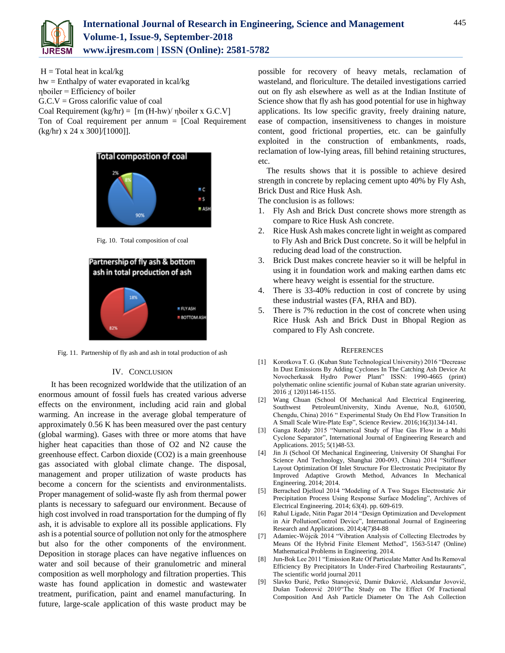

 $H = Total heat in kcal/kg$ hw = Enthalpy of water evaporated in kcal/kg ηboiler = Efficiency of boiler  $G.C.V = Gross$  calorific value of coal Coal Requirement (kg/hr) =  $\text{[m (H-hw)/ nboiler x G.C.V]}$ Ton of Coal requirement per annum  $=$  [Coal Requirement (kg/hr) x 24 x 300]/[1000]].



Fig. 10. Total composition of coal



Fig. 11. Partnership of fly ash and ash in total production of ash

#### IV. CONCLUSION

 It has been recognized worldwide that the utilization of an enormous amount of fossil fuels has created various adverse effects on the environment, including acid rain and global warming. An increase in the average global temperature of approximately 0.56 K has been measured over the past century (global warming). Gases with three or more atoms that have higher heat capacities than those of O2 and N2 cause the greenhouse effect. Carbon dioxide (CO2) is a main greenhouse gas associated with global climate change. The disposal, management and proper utilization of waste products has become a concern for the scientists and environmentalists. Proper management of solid-waste fly ash from thermal power plants is necessary to safeguard our environment. Because of high cost involved in road transportation for the dumping of fly ash, it is advisable to explore all its possible applications. Fly ash is a potential source of pollution not only for the atmosphere but also for the other components of the environment. Deposition in storage places can have negative influences on water and soil because of their granulometric and mineral composition as well morphology and filtration properties. This waste has found application in domestic and wastewater treatment, purification, paint and enamel manufacturing. In future, large-scale application of this waste product may be possible for recovery of heavy metals, reclamation of wasteland, and floriculture. The detailed investigations carried out on fly ash elsewhere as well as at the Indian Institute of Science show that fly ash has good potential for use in highway applications. Its low specific gravity, freely draining nature, ease of compaction, insensitiveness to changes in moisture content, good frictional properties, etc. can be gainfully exploited in the construction of embankments, roads, reclamation of low-lying areas, fill behind retaining structures, etc.

The results shows that it is possible to achieve desired strength in concrete by replacing cement upto 40% by Fly Ash, Brick Dust and Rice Husk Ash.

The conclusion is as follows:

- 1. Fly Ash and Brick Dust concrete shows more strength as compare to Rice Husk Ash concrete.
- 2. Rice Husk Ash makes concrete light in weight as compared to Fly Ash and Brick Dust concrete. So it will be helpful in reducing dead load of the construction.
- 3. Brick Dust makes concrete heavier so it will be helpful in using it in foundation work and making earthen dams etc where heavy weight is essential for the structure.
- 4. There is 33-40% reduction in cost of concrete by using these industrial wastes (FA, RHA and BD).
- 5. There is 7% reduction in the cost of concrete when using Rice Husk Ash and Brick Dust in Bhopal Region as compared to Fly Ash concrete.

#### **REFERENCES**

- [1] Korotkova T. G. (Kuban State Technological University) 2016 "Decrease In Dust Emissions By Adding Cyclones In The Catching Ash Device At Novocherkassk Hydro Power Plant" ISSN: 1990-4665 (print) polythematic online scientific journal of Kuban state agrarian university. 2016 ;( 120)1146-1155.
- [2] Wang Chuan (School Of Mechanical And Electrical Engineering, Southwest PetroleumUniversity, Xindu Avenue, No.8, 610500, Chengdu, China) 2016 " Experimental Study On Ehd Flow Transition In A Small Scale Wire-Plate Esp", Science Review. 2016;16(3)134-141.
- [3] Ganga Reddy 2015 "Numerical Study of Flue Gas Flow in a Multi Cyclone Separator", International Journal of Engineering Research and Applications. 2015; 5(1)48-53.
- [4] Jin Ji (School Of Mechanical Engineering, University Of Shanghai For Science And Technology, Shanghai 200-093, China) 2014 "Stiffener Layout Optimization Of Inlet Structure For Electrostatic Precipitator By Improved Adaptive Growth Method, Advances In Mechanical Engineering. 2014; 2014.
- [5] Berrached Djelloul 2014 "Modeling of A Two Stages Electrostatic Air Precipitation Process Using Response Surface Modeling", Archives of Electrical Engineering. 2014; 63(4). pp. 609-619.
- [6] Rahul Ligade, Nitin Pagar 2014 "Design Optimization and Development in Air PollutionControl Device", International Journal of Engineering Research and Applications. 2014;4(7)84-88
- [7] Adamiec-Wójcik 2014 "Vibration Analysis of Collecting Electrodes by Means Of the Hybrid Finite Element Method", 1563-5147 (Online) Mathematical Problems in Engineering. 2014.
- [8] Jun-Bok Lee 2011 "Emission Rate Of Particulate Matter And Its Removal Efficiency By Precipitators In Under-Fired Charbroiling Restaurants", The scientific world journal 2011
- [9] Slavko Đurić, Petko Stanojević, Damir Đaković, Aleksandar Jovović, Dušan Todorović 2010"The Study on The Effect Of Fractional Composition And Ash Particle Diameter On The Ash Collection